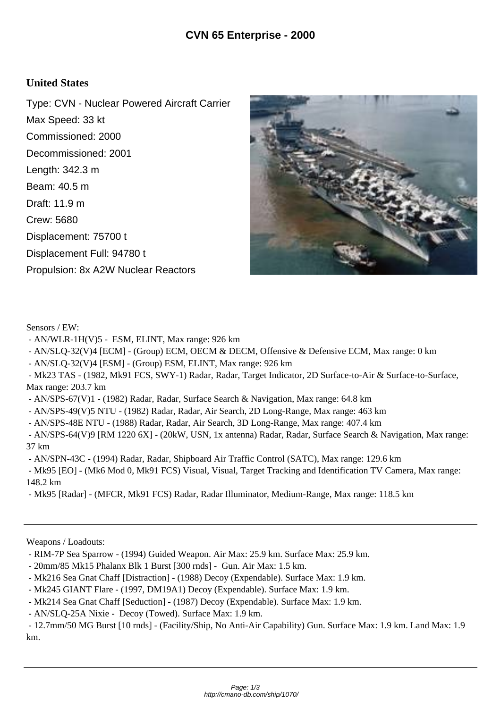## **United States**

Type: CVN - Nuclear Powered Aircraft Carrier Max Speed: 33 kt Commissioned: 2000 Decommissioned: 2001 Length: 342.3 m Beam: 40.5 m Draft: 11.9 m Crew: 5680 Displacement: 75700 t Displacement Full: 94780 t Propulsion: 8x A2W Nuclear Reactors



Sensors / EW:

- AN/WLR-1H(V)5 ESM, ELINT, Max range: 926 km
- AN/SLQ-32(V)4 [ECM] (Group) ECM, OECM & DECM, Offensive & Defensive ECM, Max range: 0 km
- AN/SLQ-32(V)4 [ESM] (Group) ESM, ELINT, Max range: 926 km
- Mk23 TAS (1982, Mk91 FCS, SWY-1) Radar, Radar, Target Indicator, 2D Surface-to-Air & Surface-to-Surface, Max range: 203.7 km
- AN/SPS-67(V)1 (1982) Radar, Radar, Surface Search & Navigation, Max range: 64.8 km
- AN/SPS-49(V)5 NTU (1982) Radar, Radar, Air Search, 2D Long-Range, Max range: 463 km
- AN/SPS-48E NTU (1988) Radar, Radar, Air Search, 3D Long-Range, Max range: 407.4 km

 - AN/SPS-64(V)9 [RM 1220 6X] - (20kW, USN, 1x antenna) Radar, Radar, Surface Search & Navigation, Max range: 37 km

- AN/SPN-43C - (1994) Radar, Radar, Shipboard Air Traffic Control (SATC), Max range: 129.6 km

 - Mk95 [EO] - (Mk6 Mod 0, Mk91 FCS) Visual, Visual, Target Tracking and Identification TV Camera, Max range: 148.2 km

- Mk95 [Radar] - (MFCR, Mk91 FCS) Radar, Radar Illuminator, Medium-Range, Max range: 118.5 km

Weapons / Loadouts:

- RIM-7P Sea Sparrow (1994) Guided Weapon. Air Max: 25.9 km. Surface Max: 25.9 km.
- 20mm/85 Mk15 Phalanx Blk 1 Burst [300 rnds] Gun. Air Max: 1.5 km.
- Mk216 Sea Gnat Chaff [Distraction] (1988) Decoy (Expendable). Surface Max: 1.9 km.
- Mk245 GIANT Flare (1997, DM19A1) Decoy (Expendable). Surface Max: 1.9 km.
- Mk214 Sea Gnat Chaff [Seduction] (1987) Decoy (Expendable). Surface Max: 1.9 km.
- AN/SLQ-25A Nixie Decoy (Towed). Surface Max: 1.9 km.

 - 12.7mm/50 MG Burst [10 rnds] - (Facility/Ship, No Anti-Air Capability) Gun. Surface Max: 1.9 km. Land Max: 1.9 km.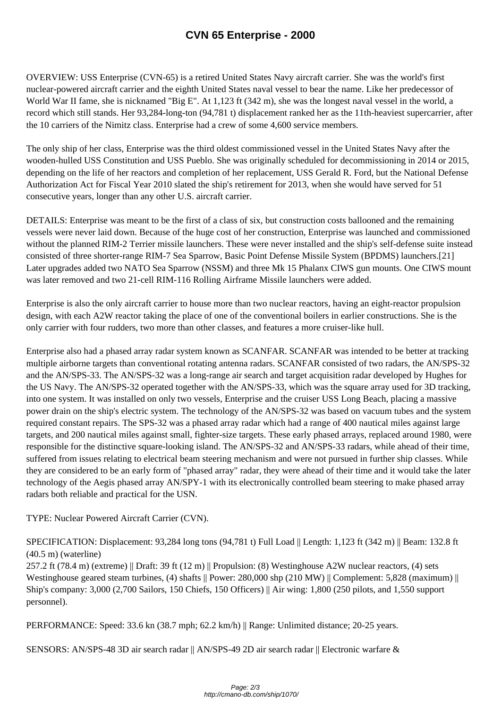OVERVIEW: USS Enterprise (CVN-65) i[s a retired United States Navy aircra](http://cmano-db.com/ship/1070/)ft carrier. She was the world's first nuclear-powered aircraft carrier and the eighth United States naval vessel to bear the name. Like her predecessor of World War II fame, she is nicknamed "Big E". At 1,123 ft (342 m), she was the longest naval vessel in the world, a record which still stands. Her 93,284-long-ton (94,781 t) displacement ranked her as the 11th-heaviest supercarrier, after the 10 carriers of the Nimitz class. Enterprise had a crew of some 4,600 service members.

The only ship of her class, Enterprise was the third oldest commissioned vessel in the United States Navy after the wooden-hulled USS Constitution and USS Pueblo. She was originally scheduled for decommissioning in 2014 or 2015, depending on the life of her reactors and completion of her replacement, USS Gerald R. Ford, but the National Defense Authorization Act for Fiscal Year 2010 slated the ship's retirement for 2013, when she would have served for 51 consecutive years, longer than any other U.S. aircraft carrier.

DETAILS: Enterprise was meant to be the first of a class of six, but construction costs ballooned and the remaining vessels were never laid down. Because of the huge cost of her construction, Enterprise was launched and commissioned without the planned RIM-2 Terrier missile launchers. These were never installed and the ship's self-defense suite instead consisted of three shorter-range RIM-7 Sea Sparrow, Basic Point Defense Missile System (BPDMS) launchers.[21] Later upgrades added two NATO Sea Sparrow (NSSM) and three Mk 15 Phalanx CIWS gun mounts. One CIWS mount was later removed and two 21-cell RIM-116 Rolling Airframe Missile launchers were added.

Enterprise is also the only aircraft carrier to house more than two nuclear reactors, having an eight-reactor propulsion design, with each A2W reactor taking the place of one of the conventional boilers in earlier constructions. She is the only carrier with four rudders, two more than other classes, and features a more cruiser-like hull.

Enterprise also had a phased array radar system known as SCANFAR. SCANFAR was intended to be better at tracking multiple airborne targets than conventional rotating antenna radars. SCANFAR consisted of two radars, the AN/SPS-32 and the AN/SPS-33. The AN/SPS-32 was a long-range air search and target acquisition radar developed by Hughes for the US Navy. The AN/SPS-32 operated together with the AN/SPS-33, which was the square array used for 3D tracking, into one system. It was installed on only two vessels, Enterprise and the cruiser USS Long Beach, placing a massive power drain on the ship's electric system. The technology of the AN/SPS-32 was based on vacuum tubes and the system required constant repairs. The SPS-32 was a phased array radar which had a range of 400 nautical miles against large targets, and 200 nautical miles against small, fighter-size targets. These early phased arrays, replaced around 1980, were responsible for the distinctive square-looking island. The AN/SPS-32 and AN/SPS-33 radars, while ahead of their time, suffered from issues relating to electrical beam steering mechanism and were not pursued in further ship classes. While they are considered to be an early form of "phased array" radar, they were ahead of their time and it would take the later technology of the Aegis phased array AN/SPY-1 with its electronically controlled beam steering to make phased array radars both reliable and practical for the USN.

TYPE: Nuclear Powered Aircraft Carrier (CVN).

SPECIFICATION: Displacement: 93,284 long tons (94,781 t) Full Load || Length: 1,123 ft (342 m) || Beam: 132.8 ft (40.5 m) (waterline)

257.2 ft (78.4 m) (extreme) || Draft: 39 ft (12 m) || Propulsion: (8) Westinghouse A2W nuclear reactors, (4) sets Westinghouse geared steam turbines, (4) shafts || Power: 280,000 shp (210 MW) || Complement: 5,828 (maximum) || Ship's company: 3,000 (2,700 Sailors, 150 Chiefs, 150 Officers) || Air wing: 1,800 (250 pilots, and 1,550 support personnel).

PERFORMANCE: Speed: 33.6 kn (38.7 mph; 62.2 km/h) || Range: Unlimited distance; 20-25 vears.

SENSORS: AN/SPS-48 3D air search radar || AN/SPS-49 2D air search radar || Electronic warfare &